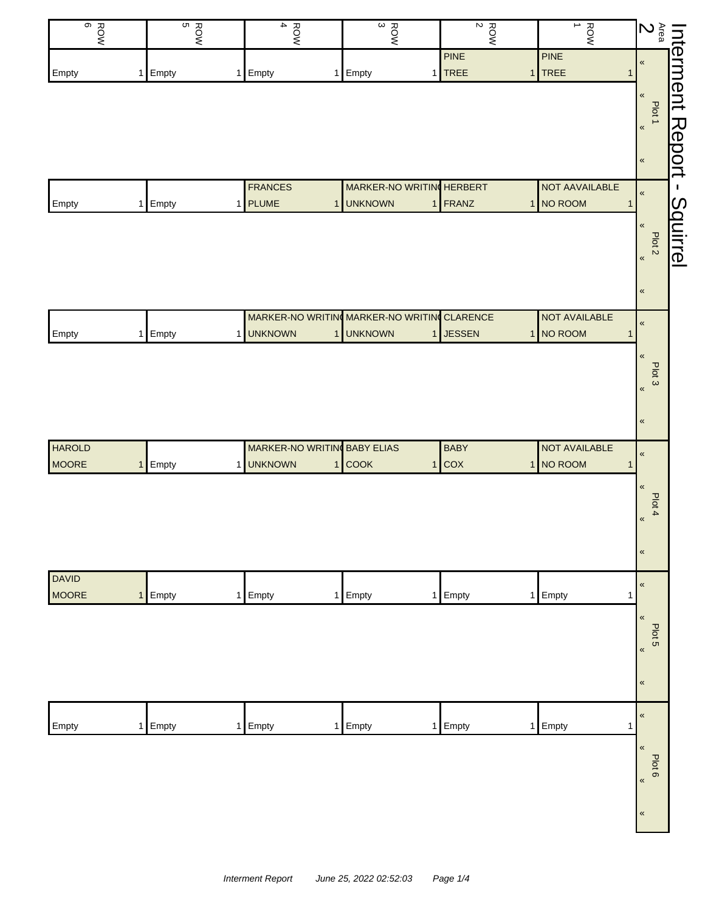| $rac{6}{6}$   | ROW<br>S | $\blacktriangle$<br>ROW        | $\frac{ROW}{3}$                | $\frac{ROW}{2}$                                          | $\rightarrow$<br>ROW        |                                                                                                                                                                                                                                       |
|---------------|----------|--------------------------------|--------------------------------|----------------------------------------------------------|-----------------------------|---------------------------------------------------------------------------------------------------------------------------------------------------------------------------------------------------------------------------------------|
| Empty         | 1 Empty  | Empty<br>1                     | 1 Empty                        | PINE<br>$1$ TREE                                         | <b>PINE</b><br>1 TREE       | Interment Report -<br>Area Plot + Plot + Second - Plot + Second - SO - Plot + Second - SO - Plot + Second - Second - Second - Second - Second - Second - Second - Second - Second - Second - Second - Second - Second - Second -<br>1 |
|               |          |                                |                                |                                                          |                             |                                                                                                                                                                                                                                       |
|               |          |                                |                                |                                                          |                             |                                                                                                                                                                                                                                       |
|               |          |                                |                                |                                                          |                             |                                                                                                                                                                                                                                       |
| Empty         | 1 Empty  | <b>FRANCES</b><br>1 PLUME      | <b>UNKNOWN</b><br>$\mathbf{1}$ | MARKER-NO WRITIN HERBERT<br>1 FRANZ                      | NOT AAVAILABLE<br>1 NO ROOM | $\pmb{\kappa}$<br>Squirrel<br>1                                                                                                                                                                                                       |
|               |          |                                |                                |                                                          |                             | $\pmb{\ll}$                                                                                                                                                                                                                           |
|               |          |                                |                                |                                                          |                             | Plot <sub>2</sub><br>$\pmb{\kappa}$                                                                                                                                                                                                   |
|               |          |                                |                                |                                                          |                             | $\pmb{\ll}$                                                                                                                                                                                                                           |
| Empty         | 1 Empty  | 1 UNKNOWN                      | <b>UNKNOWN</b><br>$\mathbf{1}$ | MARKER-NO WRITING MARKER-NO WRITING CLARENCE<br>1 JESSEN | NOT AVAILABLE<br>1 NO ROOM  | $\pmb{\kappa}$<br>1                                                                                                                                                                                                                   |
|               |          |                                |                                |                                                          |                             | $\pmb{\ll}$                                                                                                                                                                                                                           |
|               |          |                                |                                |                                                          |                             | Plot 3<br>$\pmb{\kappa}$                                                                                                                                                                                                              |
|               |          |                                |                                |                                                          |                             | $\pmb{\ll}$                                                                                                                                                                                                                           |
| <b>HAROLD</b> |          |                                | MARKER-NO WRITIN BABY ELIAS    | <b>BABY</b>                                              | NOT AVAILABLE               | $\pmb{\kappa}$                                                                                                                                                                                                                        |
| <b>MOORE</b>  | 1 Empty  | <b>UNKNOWN</b><br>$\mathbf{1}$ | <b>COOK</b><br>1               | $1$ COX                                                  | 1 NO ROOM                   | 1<br>$\pmb{\langle} \pmb{\langle}$                                                                                                                                                                                                    |
|               |          |                                |                                |                                                          |                             | Plot 4<br>$\pmb{\kappa}$                                                                                                                                                                                                              |
|               |          |                                |                                |                                                          |                             | $\pmb{\kappa}$                                                                                                                                                                                                                        |
| <b>DAVID</b>  |          |                                |                                |                                                          |                             |                                                                                                                                                                                                                                       |
| <b>MOORE</b>  | 1 Empty  | Empty<br>$\mathbf{1}$          | 1 Empty                        | 1 Empty                                                  | 1 Empty                     | $\pmb{\kappa}$<br>$\mathbf 1$                                                                                                                                                                                                         |
|               |          |                                |                                |                                                          |                             | $\pmb{\ll}$<br>Plot 5                                                                                                                                                                                                                 |
|               |          |                                |                                |                                                          |                             | $\pmb{\kappa}$                                                                                                                                                                                                                        |
|               |          |                                |                                |                                                          |                             | $\pmb{\kappa}$                                                                                                                                                                                                                        |
| Empty         | 1 Empty  | Empty<br>1                     | Empty<br>1                     | 1 Empty                                                  | Empty<br>1 <sup>1</sup>     | $\pmb{\kappa}$<br>$\mathbf{1}$                                                                                                                                                                                                        |
|               |          |                                |                                |                                                          |                             | $\pmb{\ll}$                                                                                                                                                                                                                           |
|               |          |                                |                                |                                                          |                             | Plot 6<br>$\pmb{\kappa}$                                                                                                                                                                                                              |
|               |          |                                |                                |                                                          |                             | $\pmb{\ll}$                                                                                                                                                                                                                           |
|               |          |                                |                                |                                                          |                             |                                                                                                                                                                                                                                       |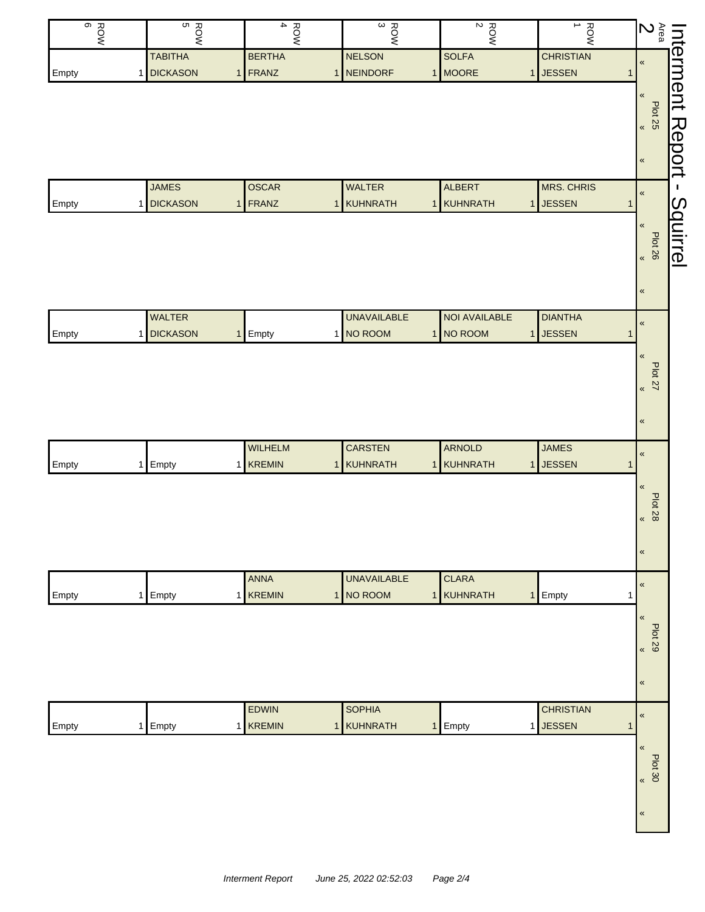| ROW<br>BOW | ROW<br>B       |                | $\blacktriangle$<br><b>ROW</b> |                | $\frac{ROW}{3}$    | $\frac{ROW}{2}$      | $\rightarrow$<br><b>ROW</b>     |             | $\sum\limits_{\substack{a \ b}}$ | Interment |
|------------|----------------|----------------|--------------------------------|----------------|--------------------|----------------------|---------------------------------|-------------|----------------------------------|-----------|
|            | <b>TABITHA</b> |                | <b>BERTHA</b>                  |                | <b>NELSON</b>      | <b>SOLFA</b>         | <b>CHRISTIAN</b>                |             | $\pmb{\ll}$                      |           |
| Empty      | 1 DICKASON     | 1 <sup>1</sup> | FRANZ                          | 1              | <b>NEINDORF</b>    | 1 MOORE              | <b>JESSEN</b><br>1 <sup>1</sup> | 1           |                                  |           |
|            |                |                |                                |                |                    |                      |                                 |             | $\pmb{\mathfrak{C}}$             |           |
|            |                |                |                                |                |                    |                      |                                 |             | Plot 25                          |           |
|            |                |                |                                |                |                    |                      |                                 |             |                                  | Report    |
|            |                |                |                                |                |                    |                      |                                 |             | $\pmb{\kappa}$                   |           |
|            |                |                |                                |                |                    |                      |                                 |             |                                  |           |
|            | <b>JAMES</b>   |                | <b>OSCAR</b>                   |                | <b>WALTER</b>      | <b>ALBERT</b>        | <b>MRS. CHRIS</b>               |             | $\pmb{\kappa}$                   | J.        |
| Empty      | 1 DICKASON     | $\mathbf{1}$   | FRANZ                          | $\overline{1}$ | KUHNRATH           | 1 KUHNRATH           | <b>JESSEN</b><br>1              | $\mathbf 1$ |                                  | Squirrel  |
|            |                |                |                                |                |                    |                      |                                 |             | $\pmb{\ll}$                      |           |
|            |                |                |                                |                |                    |                      |                                 |             | Plot 26<br>92 pld                |           |
|            |                |                |                                |                |                    |                      |                                 |             |                                  |           |
|            |                |                |                                |                |                    |                      |                                 |             |                                  |           |
|            |                |                |                                |                |                    |                      |                                 |             | $\pmb{\ll}$                      |           |
|            | <b>WALTER</b>  |                |                                |                | <b>UNAVAILABLE</b> | <b>NOI AVAILABLE</b> | <b>DIANTHA</b>                  |             | $\pmb{\kappa}$                   |           |
| Empty      | 1 DICKASON     | 1              | Empty                          |                | 1 NO ROOM          | 1 NO ROOM            | <b>JESSEN</b><br>1 <sup>1</sup> | $\mathbf 1$ |                                  |           |
|            |                |                |                                |                |                    |                      |                                 |             | $\pmb{\kappa}$                   |           |
|            |                |                |                                |                |                    |                      |                                 |             | $22 \times 22$                   |           |
|            |                |                |                                |                |                    |                      |                                 |             |                                  |           |
|            |                |                |                                |                |                    |                      |                                 |             |                                  |           |
|            |                |                |                                |                |                    |                      |                                 |             | $\pmb{\kappa}$                   |           |
|            |                |                | <b>WILHELM</b>                 |                | <b>CARSTEN</b>     | <b>ARNOLD</b>        | <b>JAMES</b>                    |             |                                  |           |
| Empty      | 1 Empty        |                | 1 KREMIN                       |                | 1 KUHNRATH         | 1 KUHNRATH           | <b>JESSEN</b><br>1 <sup>1</sup> | 1           | $\pmb{\kappa}$                   |           |
|            |                |                |                                |                |                    |                      |                                 |             | $\pmb{\ll}$                      |           |
|            |                |                |                                |                |                    |                      |                                 |             |                                  |           |
|            |                |                |                                |                |                    |                      |                                 |             | <b>Plot 28</b><br>$\pmb{\kappa}$ |           |
|            |                |                |                                |                |                    |                      |                                 |             |                                  |           |
|            |                |                |                                |                |                    |                      |                                 |             | $\pmb{\ll}$                      |           |
|            |                |                |                                |                |                    |                      |                                 |             |                                  |           |
|            |                |                | ANNA                           |                | <b>UNAVAILABLE</b> | <b>CLARA</b>         |                                 |             | $\pmb{\ll}$                      |           |
| Empty      | 1 Empty        | 1 <sup>1</sup> | <b>KREMIN</b>                  |                | 1 NO ROOM          | 1 KUHNRATH           | Empty<br>1                      | $\mathbf 1$ |                                  |           |
|            |                |                |                                |                |                    |                      |                                 |             | $\pmb{\mathfrak{C}}$             |           |
|            |                |                |                                |                |                    |                      |                                 |             | <b>Plot 29</b>                   |           |
|            |                |                |                                |                |                    |                      |                                 |             | $\pmb{\kappa}$                   |           |
|            |                |                |                                |                |                    |                      |                                 |             |                                  |           |
|            |                |                |                                |                |                    |                      |                                 |             | $\pmb{\ll}$                      |           |
|            |                |                | EDWIN                          |                | <b>SOPHIA</b>      |                      | <b>CHRISTIAN</b>                |             | $\pmb{\kappa}$                   |           |
| Empty      | 1 Empty        |                | 1 KREMIN                       | $\overline{1}$ | KUHNRATH           | 1 Empty              | 1 JESSEN                        | 1           |                                  |           |
|            |                |                |                                |                |                    |                      |                                 |             | $\pmb{\kappa}$                   |           |
|            |                |                |                                |                |                    |                      |                                 |             | $P$ lot 30                       |           |
|            |                |                |                                |                |                    |                      |                                 |             |                                  |           |
|            |                |                |                                |                |                    |                      |                                 |             |                                  |           |
|            |                |                |                                |                |                    |                      |                                 |             | $\pmb{\ll}$                      |           |
|            |                |                |                                |                |                    |                      |                                 |             |                                  |           |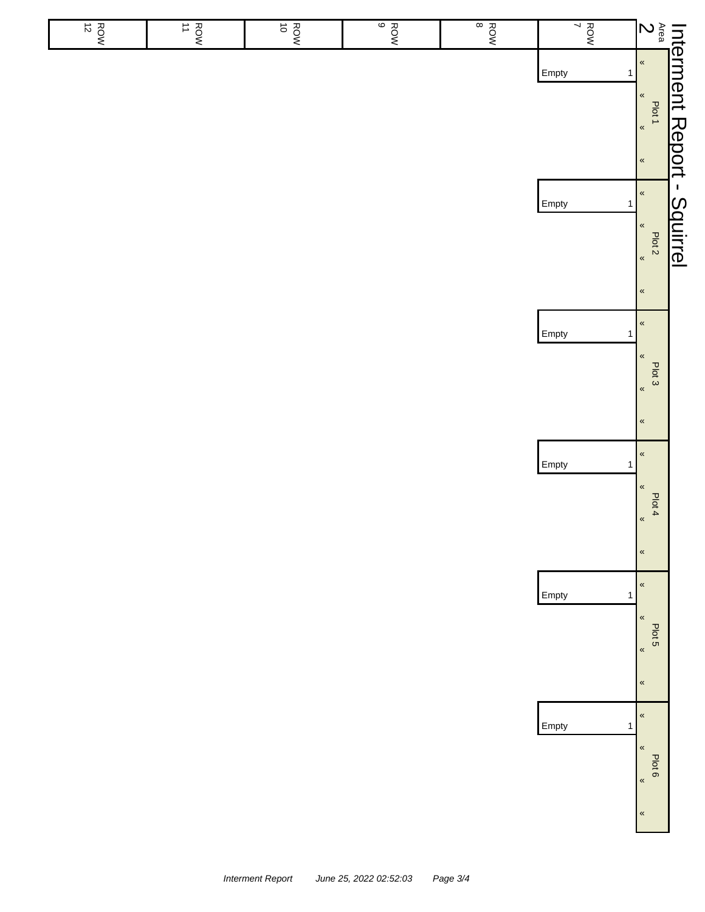| $\frac{ROM}{12}$ | $\frac{ROW}{11}$ | ROW<br>POW | $\begin{array}{c}\n\circ \\ \circ \\ \circ\n\end{array}$ | ROW<br>B | $\frac{1}{7}$         |                                                                                    |                 |
|------------------|------------------|------------|----------------------------------------------------------|----------|-----------------------|------------------------------------------------------------------------------------|-----------------|
|                  |                  |            |                                                          |          | Empty<br>$\mathbf{1}$ | Interment Report -<br>Area Plot 1<br>2<br>2<br><b>2</b> * <u>* * * *</u>           |                 |
|                  |                  |            |                                                          |          | Empty<br>$\mathbf{1}$ | $\pmb{\kappa}$<br>$\pmb{\alpha}$<br>Plot 2<br>$\pmb{\ll}$                          | <b>Squirrel</b> |
|                  |                  |            |                                                          |          | Empty<br>$\mathbf{1}$ | $\pmb{\ll}$<br>$\pmb{\ll}$<br>Plot 3<br>$\pmb{\alpha}$<br>$\pmb{\kappa}$           |                 |
|                  |                  |            |                                                          |          | Empty<br>1            | $\pmb{\ll}$<br>$\pmb{\langle}$<br>Plot 4<br>$\pmb{\kappa}$<br>$\pmb{\mathfrak{C}}$ |                 |
|                  |                  |            |                                                          |          | Empty<br>$\mathbf{1}$ | $\pmb{\ll}$<br>$\pmb{\ll}$<br>Plot 5<br>$\pmb{\alpha}$<br>$\pmb{\ll}$              |                 |
|                  |                  |            |                                                          |          | Empty<br>$\mathbf{1}$ | $\pmb{\kappa}$<br>$\pmb{\ll}$<br>Plot 6<br>$\pmb{\kappa}$<br>$\pmb{\kappa}$        |                 |

 $\overline{\phantom{a}}$